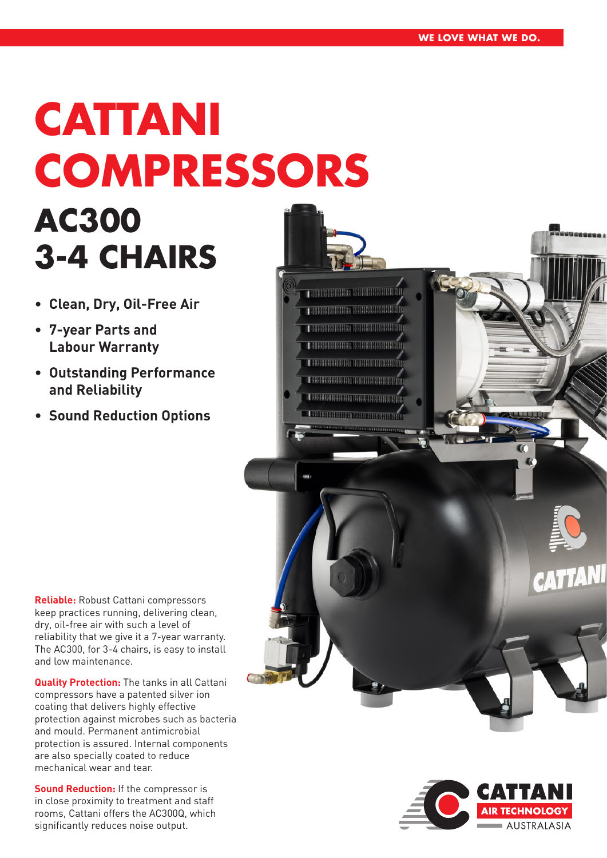# **CATTANI COMPRESSORS AC300 3-4 CHAIRS**

- **• Clean, Dry, Oil-Free Air**
- **• 7-year Parts and Labour Warranty**
- **• Outstanding Performance and Reliability**
- **• Sound Reduction Options**

**Reliable:** Robust Cattani compressors keep practices running, delivering clean, dry, oil-free air with such a level of reliability that we give it a 7-year warranty. The AC300, for 3-4 chairs, is easy to install and low maintenance.

**Quality Protection:** The tanks in all Cattani compressors have a patented silver ion coating that delivers highly effective protection against microbes such as bacteria and mould. Permanent antimicrobial protection is assured. Internal components are also specially coated to reduce mechanical wear and tear.

**Sound Reduction:** If the compressor is in close proximity to treatment and staff rooms, Cattani offers the AC300Q, which significantly reduces noise output.